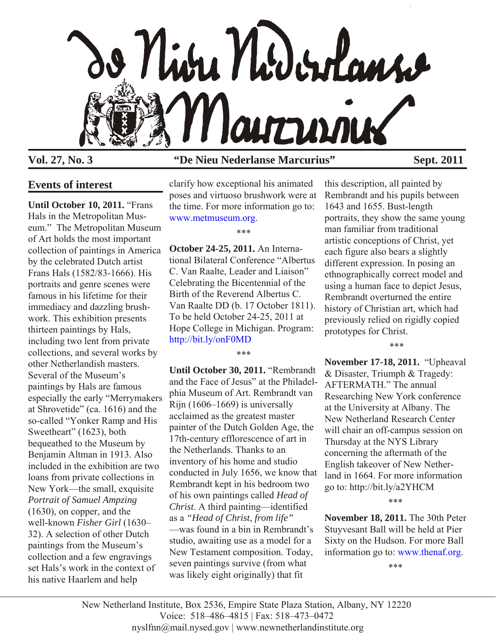

## **Vol. 27, No. 3 "De Nieu Nederlanse Marcurius" Sept. 2011**

# **Events of interest**

**Until October 10, 2011.** "Frans Hals in the Metropolitan Museum." The Metropolitan Museum of Art holds the most important collection of paintings in America by the celebrated Dutch artist Frans Hals (1582/83-1666). His portraits and genre scenes were famous in his lifetime for their immediacy and dazzling brushwork. This exhibition presents thirteen paintings by Hals, including two lent from private collections, and several works by other Netherlandish masters. Several of the Museum's paintings by Hals are famous especially the early "Merrymakers at Shrovetide" (ca. 1616) and the so-called "Yonker Ramp and His Sweetheart" (1623), both bequeathed to the Museum by Benjamin Altman in 1913. Also included in the exhibition are two loans from private collections in New York—the small, exquisite *Portrait of Samuel Ampzing* (1630), on copper, and the well-known *Fisher Girl* (1630– 32). A selection of other Dutch paintings from the Museum's collection and a few engravings set Hals's work in the context of his native Haarlem and help

clarify how exceptional his animated poses and virtuoso brushwork were at the time. For more information go to: [www.metmuseum.org.](http://www.metmuseum.org)

\*\*\*

**October 24-25, 2011.** An International Bilateral Conference "Albertus C. Van Raalte, Leader and Liaison" Celebrating the Bicentennial of the Birth of the Reverend Albertus C. Van Raalte DD (b. 17 October 1811). To be held October 24-25, 2011 at Hope College in Michigan. Program: <http://bit.ly/onF0MD>

\*\*\*

**Until October 30, 2011.** "Rembrandt and the Face of Jesus" at the Philadelphia Museum of Art. Rembrandt van Rijn (1606–1669) is universally acclaimed as the greatest master painter of the Dutch Golden Age, the 17th-century efflorescence of art in the Netherlands. Thanks to an inventory of his home and studio conducted in July 1656, we know that Rembrandt kept in his bedroom two of his own paintings called *Head of Christ*. A third painting—identified as a *"Head of Christ, from life"* —was found in a bin in Rembrandt's studio, awaiting use as a model for a New Testament composition. Today, seven paintings survive (from what was likely eight originally) that fit

this description, all painted by Rembrandt and his pupils between 1643 and 1655. Bust-length portraits, they show the same young man familiar from traditional artistic conceptions of Christ, yet each figure also bears a slightly different expression. In posing an ethnographically correct model and using a human face to depict Jesus, Rembrandt overturned the entire history of Christian art, which had previously relied on rigidly copied prototypes for Christ.

\*\*\*

**November 17-18, 2011.** "Upheaval & Disaster, Triumph & Tragedy: AFTERMATH." The annual Researching New York conference at the University at Albany. The New Netherland Research Center will chair an off-campus session on Thursday at the NYS Library concerning the aftermath of the English takeover of New Netherland in 1664. For more information go to: http://bit.ly/a2YHCM

\*\*\*

**November 18, 2011.** The 30th Peter Stuyvesant Ball will be held at Pier Sixty on the Hudson. For more Ball information go to[: www.thenaf.org.](http://www.thenaf.org)

\*\*\*

New Netherland Institute, Box 2536, Empire State Plaza Station, Albany, NY 12220 Voice: 518–486–4815 | Fax: 518–473–0472 nyslfnn@mail.nysed.gov | www.newnetherlandinstitute.org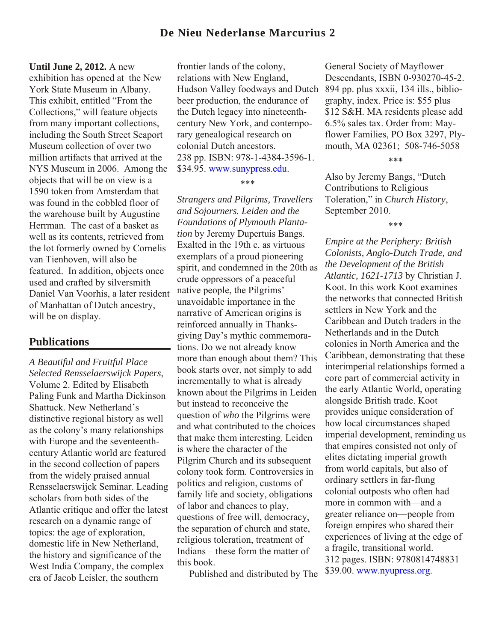## **De Nieu Nederlanse Marcurius 2**

#### **Until June 2, 2012.** A new

exhibition has opened at the New York State Museum in Albany. This exhibit, entitled "From the Collections," will feature objects from many important collections, including the South Street Seaport Museum collection of over two million artifacts that arrived at the NYS Museum in 2006. Among the objects that will be on view is a 1590 token from Amsterdam that was found in the cobbled floor of the warehouse built by Augustine Herrman. The cast of a basket as well as its contents, retrieved from the lot formerly owned by Cornelis van Tienhoven, will also be featured. In addition, objects once used and crafted by silversmith Daniel Van Voorhis, a later resident of Manhattan of Dutch ancestry, will be on display.

### **Publications**

*A Beautiful and Fruitful Place Selected Rensselaerswijck Papers*, Volume 2. Edited by Elisabeth Paling Funk and Martha Dickinson Shattuck. New Netherland's distinctive regional history as well as the colony's many relationships with Europe and the seventeenthcentury Atlantic world are featured in the second collection of papers from the widely praised annual Rensselaerswijck Seminar. Leading scholars from both sides of the Atlantic critique and offer the latest research on a dynamic range of topics: the age of exploration, domestic life in New Netherland, the history and significance of the West India Company, the complex era of Jacob Leisler, the southern

frontier lands of the colony, relations with New England, Hudson Valley foodways and Dutch 894 pp. plus xxxii, 134 ills., bibliobeer production, the endurance of the Dutch legacy into nineteenthcentury New York, and contemporary genealogical research on colonial Dutch ancestors. 238 pp. ISBN: 978-1-4384-3596-1. \$34.95. [www.sunypress.edu.](http://www.sunypress.edu)

\*\*\*

*Strangers and Pilgrims, Travellers and Sojourners. Leiden and the Foundations of Plymouth Plantation* by Jeremy Dupertuis Bangs. Exalted in the 19th c. as virtuous exemplars of a proud pioneering spirit, and condemned in the 20th as crude oppressors of a peaceful native people, the Pilgrims' unavoidable importance in the narrative of American origins is reinforced annually in Thanksgiving Day's mythic commemorations. Do we not already know more than enough about them? This book starts over, not simply to add incrementally to what is already known about the Pilgrims in Leiden but instead to reconceive the question of *who* the Pilgrims were and what contributed to the choices that make them interesting. Leiden is where the character of the Pilgrim Church and its subsequent colony took form. Controversies in politics and religion, customs of family life and society, obligations of labor and chances to play, questions of free will, democracy, the separation of church and state, religious toleration, treatment of Indians – these form the matter of this book.

Published and distributed by The

General Society of Mayflower Descendants, ISBN 0-930270-45-2. graphy, index. Price is: \$55 plus \$12 S&H. MA residents please add 6.5% sales tax. Order from: Mayflower Families, PO Box 3297, Plymouth, MA 02361; 508-746-5058

\*\*\*

Also by Jeremy Bangs, "Dutch Contributions to Religious Toleration," in *Church History*, September 2010.

\*\*\*

*Empire at the Periphery: British Colonists, Anglo-Dutch Trade, and the Development of the British Atlantic, 1621-1713* by Christian J. Koot. In this work Koot examines the networks that connected British settlers in New York and the Caribbean and Dutch traders in the Netherlands and in the Dutch colonies in North America and the Caribbean, demonstrating that these interimperial relationships formed a core part of commercial activity in the early Atlantic World, operating alongside British trade. Koot provides unique consideration of how local circumstances shaped imperial development, reminding us that empires consisted not only of elites dictating imperial growth from world capitals, but also of ordinary settlers in far-flung colonial outposts who often had more in common with—and a greater reliance on—people from foreign empires who shared their experiences of living at the edge of a fragile, transitional world. 312 pages. ISBN: 9780814748831 \$39.00[. www.nyupress.org.](http://www.nyupress.org)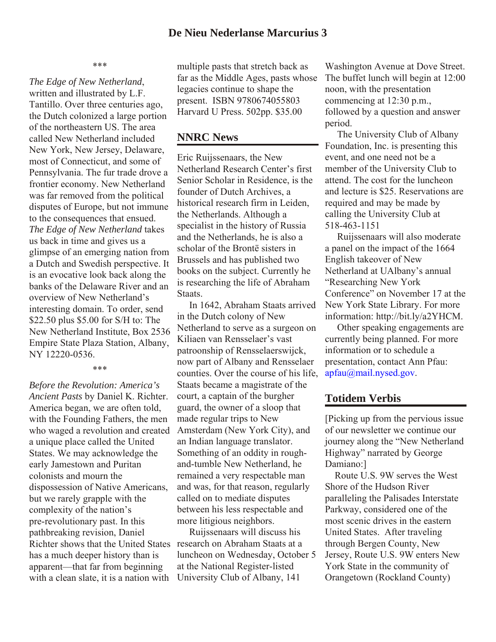\*\*\*

*The Edge of New Netherland*, written and illustrated by L.F. Tantillo. Over three centuries ago, the Dutch colonized a large portion of the northeastern US. The area called New Netherland included New York, New Jersey, Delaware, most of Connecticut, and some of Pennsylvania. The fur trade drove a frontier economy. New Netherland was far removed from the political disputes of Europe, but not immune to the consequences that ensued. *The Edge of New Netherland* takes us back in time and gives us a glimpse of an emerging nation from a Dutch and Swedish perspective. It is an evocative look back along the banks of the Delaware River and an overview of New Netherland's interesting domain. To order, send \$22.50 plus \$5.00 for S/H to: The New Netherland Institute, Box 2536 Empire State Plaza Station, Albany, NY 12220-0536.

#### \*\*\*

*Before the Revolution: America's Ancient Pasts* by Daniel K. Richter. America began, we are often told, with the Founding Fathers, the men who waged a revolution and created a unique place called the United States. We may acknowledge the early Jamestown and Puritan colonists and mourn the dispossession of Native Americans, but we rarely grapple with the complexity of the nation's pre-revolutionary past. In this pathbreaking revision, Daniel Richter shows that the United States has a much deeper history than is apparent—that far from beginning with a clean slate, it is a nation with

multiple pasts that stretch back as far as the Middle Ages, pasts whose legacies continue to shape the present. ISBN 9780674055803 Harvard U Press. 502pp. \$35.00

## **NNRC News**

Eric Ruijssenaars, the New Netherland Research Center's first Senior Scholar in Residence, is the founder of Dutch Archives, a historical research firm in Leiden, the Netherlands. Although a specialist in the history of Russia and the Netherlands, he is also a scholar of the Brontë sisters in Brussels and has published two books on the subject. Currently he is researching the life of Abraham **Staats** 

 In 1642, Abraham Staats arrived in the Dutch colony of New Netherland to serve as a surgeon on Kiliaen van Rensselaer's vast patroonship of Rensselaerswijck, now part of Albany and Rensselaer counties. Over the course of his life, Staats became a magistrate of the court, a captain of the burgher guard, the owner of a sloop that made regular trips to New Amsterdam (New York City), and an Indian language translator. Something of an oddity in roughand-tumble New Netherland, he remained a very respectable man and was, for that reason, regularly called on to mediate disputes between his less respectable and more litigious neighbors.

 Ruijssenaars will discuss his research on Abraham Staats at a luncheon on Wednesday, October 5 at the National Register-listed University Club of Albany, 141

Washington Avenue at Dove Street. The buffet lunch will begin at 12:00 noon, with the presentation commencing at 12:30 p.m., followed by a question and answer period.

 The University Club of Albany Foundation, Inc. is presenting this event, and one need not be a member of the University Club to attend. The cost for the luncheon and lecture is \$25. Reservations are required and may be made by calling the University Club at 518-463-1151

 Ruijssenaars will also moderate a panel on the impact of the 1664 English takeover of New Netherland at UAlbany's annual "Researching New York Conference" on November 17 at the New York State Library. For more information: http://bit.ly/a2YHCM.

 Other speaking engagements are currently being planned. For more information or to schedule a presentation, contact Ann Pfau: [apfau@mail.nysed.gov.](mailto:apfau@mail.nysed.gov)

## **Totidem Verbis**

[Picking up from the pervious issue of our newsletter we continue our journey along the "New Netherland Highway" narrated by George Damiano:]

 Route U.S. 9W serves the West Shore of the Hudson River paralleling the Palisades Interstate Parkway, considered one of the most scenic drives in the eastern United States. After traveling through Bergen County, New Jersey, Route U.S. 9W enters New York State in the community of Orangetown (Rockland County)